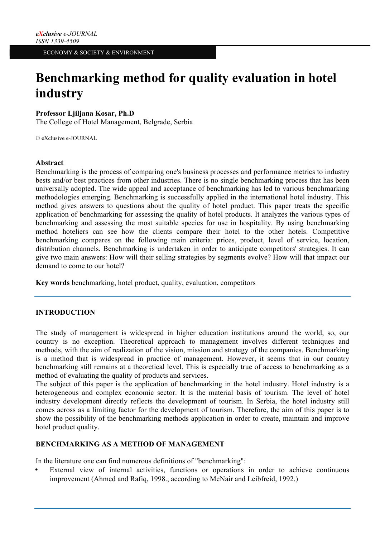# **Benchmarking method for quality evaluation in hotel industry**

## **Professor Ljiljana Kosar, Ph.D**

The College of Hotel Management, Belgrade, Serbia

© eXclusive e-JOURNAL

## **Abstract**

Benchmarking is the process of comparing one's business processes and performance metrics to industry bests and/or best practices from other industries. There is no single benchmarking process that has been universally adopted. The wide appeal and acceptance of benchmarking has led to various benchmarking methodologies emerging. Benchmarking is successfully applied in the international hotel industry. This method gives answers to questions about the quality of hotel product. This paper treats the specific application of benchmarking for assessing the quality of hotel products. It analyzes the various types of benchmarking and assessing the most suitable species for use in hospitality. By using benchmarking method hoteliers can see how the clients compare their hotel to the other hotels. Competitive benchmarking compares on the following main criteria: prices, product, level of service, location, distribution channels. Benchmarking is undertaken in order to anticipate competitors' strategies. It can give two main answers: How will their selling strategies by segments evolve? How will that impact our demand to come to our hotel?

**Key words** benchmarking, hotel product, quality, evaluation, competitors

# **INTRODUCTION**

The study of management is widespread in higher education institutions around the world, so, our country is no exception. Theoretical approach to management involves different techniques and methods, with the aim of realization of the vision, mission and strategy of the companies. Benchmarking is a method that is widespread in practice of management. However, it seems that in our country benchmarking still remains at a theoretical level. This is especially true of access to benchmarking as a method of evaluating the quality of products and services.

The subject of this paper is the application of benchmarking in the hotel industry. Hotel industry is a heterogeneous and complex economic sector. It is the material basis of tourism. The level of hotel industry development directly reflects the development of tourism. In Serbia, the hotel industry still comes across as a limiting factor for the development of tourism. Therefore, the aim of this paper is to show the possibility of the benchmarking methods application in order to create, maintain and improve hotel product quality.

# **BENCHMARKING AS A METHOD OF MANAGEMENT**

In the literature one can find numerous definitions of "benchmarking":

External view of internal activities, functions or operations in order to achieve continuous improvement (Ahmed and Rafiq, 1998., according to McNair and Leibfreid, 1992.)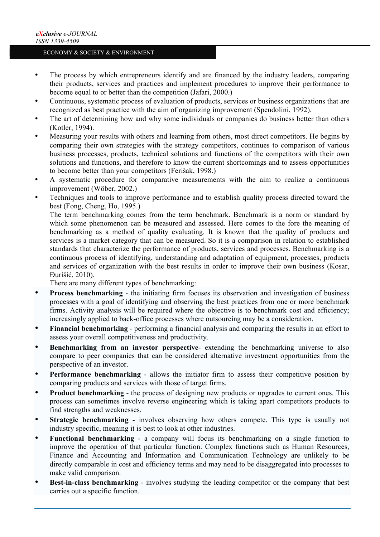- The process by which entrepreneurs identify and are financed by the industry leaders, comparing their products, services and practices and implement procedures to improve their performance to become equal to or better than the competition (Jafari, 2000.)
- Continuous, systematic process of evaluation of products, services or business organizations that are recognized as best practice with the aim of organizing improvement (Spendolini, 1992).
- The art of determining how and why some individuals or companies do business better than others (Kotler, 1994).
- Measuring your results with others and learning from others, most direct competitors. He begins by comparing their own strategies with the strategy competitors, continues to comparison of various business processes, products, technical solutions and functions of the competitors with their own solutions and functions, and therefore to know the current shortcomings and to assess opportunities to become better than your competitors (Ferišak, 1998.)
- A systematic procedure for comparative measurements with the aim to realize a continuous improvement (Wöber, 2002.)
- Techniques and tools to improve performance and to establish quality process directed toward the best (Fong, Cheng, Ho, 1995.)

The term benchmarking comes from the term benchmark. Benchmark is a norm or standard by which some phenomenon can be measured and assessed. Here comes to the fore the meaning of benchmarking as a method of quality evaluating. It is known that the quality of products and services is a market category that can be measured. So it is a comparison in relation to established standards that characterize the performance of products, services and processes. Benchmarking is a continuous process of identifying, understanding and adaptation of equipment, processes, products and services of organization with the best results in order to improve their own business (Kosar, Đurišić, 2010).

There are many different types of benchmarking:

- **Process benchmarking** the initiating firm focuses its observation and investigation of business processes with a goal of identifying and observing the best practices from one or more benchmark firms. Activity analysis will be required where the objective is to benchmark cost and efficiency; increasingly applied to back-office processes where outsourcing may be a consideration.
- **Financial benchmarking** performing a financial analysis and comparing the results in an effort to assess your overall competitiveness and productivity.
- **Benchmarking from an investor perspective-** extending the benchmarking universe to also compare to peer companies that can be considered alternative investment opportunities from the perspective of an investor.
- **Performance benchmarking** allows the initiator firm to assess their competitive position by comparing products and services with those of target firms.
- **Product benchmarking** the process of designing new products or upgrades to current ones. This process can sometimes involve reverse engineering which is taking apart competitors products to find strengths and weaknesses.
- **Strategic benchmarking** involves observing how others compete. This type is usually not industry specific, meaning it is best to look at other industries.
- **Functional benchmarking** a company will focus its benchmarking on a single function to improve the operation of that particular function. Complex functions such as Human Resources, Finance and Accounting and Information and Communication Technology are unlikely to be directly comparable in cost and efficiency terms and may need to be disaggregated into processes to make valid comparison.
- **Best-in-class benchmarking** involves studying the leading competitor or the company that best carries out a specific function.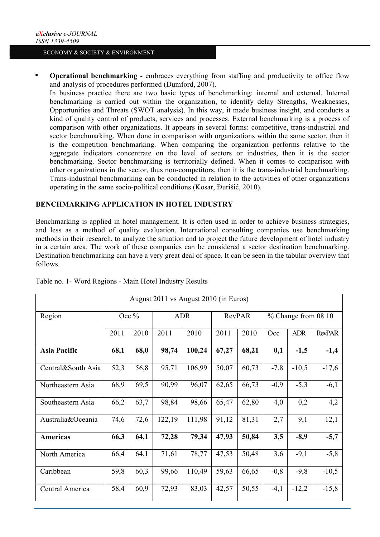• **Operational benchmarking** - embraces everything from staffing and productivity to office flow and analysis of procedures performed (Dumford, 2007).

In business practice there are two basic types of benchmarking: internal and external. Internal benchmarking is carried out within the organization, to identify delay Strengths, Weaknesses, Opportunities and Threats (SWOT analysis). In this way, it made business insight, and conducts a kind of quality control of products, services and processes. External benchmarking is a process of comparison with other organizations. It appears in several forms: competitive, trans-industrial and sector benchmarking. When done in comparison with organizations within the same sector, then it is the competition benchmarking. When comparing the organization performs relative to the aggregate indicators concentrate on the level of sectors or industries, then it is the sector benchmarking. Sector benchmarking is territorially defined. When it comes to comparison with other organizations in the sector, thus non-competitors, then it is the trans-industrial benchmarking. Trans-industrial benchmarking can be conducted in relation to the activities of other organizations operating in the same socio-political conditions (Kosar, Đurišić, 2010).

# **BENCHMARKING APPLICATION IN HOTEL INDUSTRY**

Benchmarking is applied in hotel management. It is often used in order to achieve business strategies, and less as a method of quality evaluation. International consulting companies use benchmarking methods in their research, to analyze the situation and to project the future development of hotel industry in a certain area. The work of these companies can be considered a sector destination benchmarking. Destination benchmarking can have a very great deal of space. It can be seen in the tabular overview that follows.

| August 2011 vs August 2010 (in Euros) |       |      |            |        |        |       |                     |            |               |
|---------------------------------------|-------|------|------------|--------|--------|-------|---------------------|------------|---------------|
| Region                                | Occ % |      | <b>ADR</b> |        | RevPAR |       | % Change from 08 10 |            |               |
|                                       | 2011  | 2010 | 2011       | 2010   | 2011   | 2010  | Occ                 | <b>ADR</b> | <b>RevPAR</b> |
| <b>Asia Pacific</b>                   | 68,1  | 68,0 | 98,74      | 100,24 | 67,27  | 68,21 | 0,1                 | $-1,5$     | $-1,4$        |
| Central&South Asia                    | 52,3  | 56,8 | 95,71      | 106.99 | 50,07  | 60,73 | $-7,8$              | $-10,5$    | $-17,6$       |
| Northeastern Asia                     | 68,9  | 69,5 | 90,99      | 96,07  | 62,65  | 66,73 | $-0.9$              | $-5.3$     | $-6,1$        |
| Southeastern Asia                     | 66,2  | 63,7 | 98,84      | 98,66  | 65,47  | 62,80 | 4,0                 | 0.2        | 4,2           |
| Australia&Oceania                     | 74,6  | 72,6 | 122,19     | 111,98 | 91,12  | 81,31 | 2,7                 | 9,1        | 12,1          |
| Americas                              | 66,3  | 64,1 | 72,28      | 79,34  | 47,93  | 50,84 | 3,5                 | $-8,9$     | $-5,7$        |
| North America                         | 66,4  | 64,1 | 71,61      | 78,77  | 47,53  | 50,48 | 3,6                 | $-9,1$     | $-5,8$        |
| Caribbean                             | 59,8  | 60,3 | 99,66      | 110,49 | 59,63  | 66,65 | $-0.8$              | $-9,8$     | $-10,5$       |
| Central America                       | 58,4  | 60,9 | 72,93      | 83,03  | 42,57  | 50,55 | $-4,1$              | $-12,2$    | $-15,8$       |

Table no. 1- Word Regions - Main Hotel Industry Results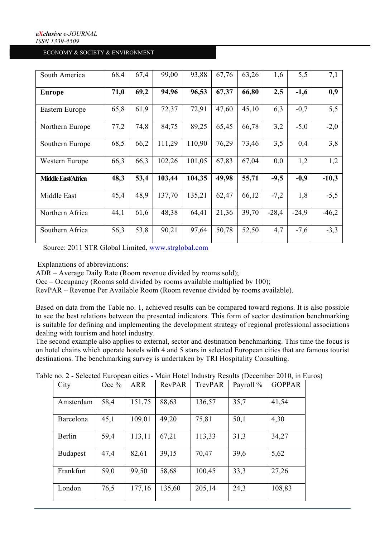| South America      | 68,4 | 67,4 | 99,00  | 93,88  | 67,76 | 63,26 | 1,6     | 5,5     | 7,1     |
|--------------------|------|------|--------|--------|-------|-------|---------|---------|---------|
| Europe             | 71,0 | 69,2 | 94,96  | 96,53  | 67,37 | 66,80 | 2.5     | $-1,6$  | 0,9     |
| Eastern Europe     | 65,8 | 61,9 | 72,37  | 72,91  | 47,60 | 45,10 | 6.3     | $-0.7$  | 5,5     |
| Northern Europe    | 77,2 | 74,8 | 84,75  | 89,25  | 65,45 | 66,78 | 3,2     | $-5,0$  | $-2,0$  |
| Southern Europe    | 68,5 | 66,2 | 111,29 | 110,90 | 76,29 | 73,46 | 3,5     | 0,4     | 3,8     |
| Western Europe     | 66,3 | 66,3 | 102,26 | 101,05 | 67,83 | 67,04 | 0.0     | 1,2     | 1,2     |
| Middle East/Africa | 48,3 | 53,4 | 103,44 | 104,35 | 49,98 | 55,71 | $-9.5$  | $-0.9$  | $-10,3$ |
| Middle East        | 45,4 | 48,9 | 137,70 | 135,21 | 62,47 | 66,12 | $-7,2$  | 1,8     | $-5,5$  |
| Northern Africa    | 44,1 | 61,6 | 48,38  | 64,41  | 21,36 | 39,70 | $-28.4$ | $-24.9$ | $-46,2$ |
| Southern Africa    | 56,3 | 53,8 | 90,21  | 97,64  | 50,78 | 52,50 | 4,7     | $-7,6$  | $-3,3$  |

Source: 2011 STR Global Limited, www.strglobal.com

Explanations of abbreviations:

ADR – Average Daily Rate (Room revenue divided by rooms sold);

Occ – Occupancy (Rooms sold divided by rooms available multiplied by 100);

RevPAR – Revenue Per Available Room (Room revenue divided by rooms available).

Based on data from the Table no. 1, achieved results can be compared toward regions. It is also possible to see the best relations between the presented indicators. This form of sector destination benchmarking is suitable for defining and implementing the development strategy of regional professional associations dealing with tourism and hotel industry.

The second example also applies to external, sector and destination benchmarking. This time the focus is on hotel chains which operate hotels with 4 and 5 stars in selected European cities that are famous tourist destinations. The benchmarking survey is undertaken by TRI Hospitality Consulting.

| $\phi$ iole no. 2 - Selecteu European cities - Main fiolei muusti y Results (December 2010, in Et |                                                                          |         |         |           |               |  |  |
|---------------------------------------------------------------------------------------------------|--------------------------------------------------------------------------|---------|---------|-----------|---------------|--|--|
|                                                                                                   | ARR                                                                      | RevPAR  | TrevPAR | Payroll % | <b>GOPPAR</b> |  |  |
| 58.4                                                                                              | 151,75                                                                   | 88,63   | 136,57  | 35,7      | 41,54         |  |  |
| 45,1                                                                                              | 109.01                                                                   | 49,20   | 75,81   | 50,1      | 4,30          |  |  |
| 59,4                                                                                              | 113,11                                                                   | 67,21   | 113,33  | 31.3      | 34,27         |  |  |
| 47,4                                                                                              | 82,61                                                                    | 39,15   | 70.47   | 39.6      | 5.62          |  |  |
|                                                                                                   | 99.50                                                                    | 58,68   | 100.45  | 33,3      | 27,26         |  |  |
| 76.5                                                                                              | 177.16                                                                   | 135.60  | 205.14  | 24.3      | 108.83        |  |  |
|                                                                                                   | Amsterdam<br>Barcelona<br><b>Budapest</b><br>59,0<br>Frankfurt<br>London | Occ $%$ |         |           |               |  |  |

Table no. 2 - Selected European cities - Main Hotel Industry Results (December 2010, in Euros)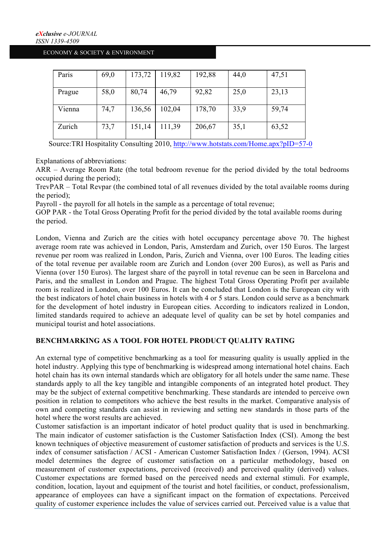| Paris  | 69,0 | 173,72 | 119,82 | 192,88 | 44,0 | 47,51 |
|--------|------|--------|--------|--------|------|-------|
| Prague | 58,0 | 80,74  | 46,79  | 92,82  | 25,0 | 23,13 |
| Vienna | 74,7 | 136,56 | 102.04 | 178,70 | 33,9 | 59,74 |
| Zurich | 73,7 | 151,14 | 111,39 | 206,67 | 35,1 | 63,52 |

Source:TRI Hospitality Consulting 2010, http://www.hotstats.com/Home.apx?pID=57-0

Explanations of abbreviations:

ARR – Average Room Rate (the total bedroom revenue for the period divided by the total bedrooms occupied during the period);

TrevPAR – Total Revpar (the combined total of all revenues divided by the total available rooms during the period);

Payroll - the payroll for all hotels in the sample as a percentage of total revenue;

GOP PAR - the Total Gross Operating Profit for the period divided by the total available rooms during the period.

London, Vienna and Zurich are the cities with hotel occupancy percentage above 70. The highest average room rate was achieved in London, Paris, Amsterdam and Zurich, over 150 Euros. The largest revenue per room was realized in London, Paris, Zurich and Vienna, over 100 Euros. The leading cities of the total revenue per available room are Zurich and London (over 200 Euros), as well as Paris and Vienna (over 150 Euros). The largest share of the payroll in total revenue can be seen in Barcelona and Paris, and the smallest in London and Prague. The highest Total Gross Operating Profit per available room is realized in London, over 100 Euros. It can be concluded that London is the European city with the best indicators of hotel chain business in hotels with 4 or 5 stars. London could serve as a benchmark for the development of hotel industry in European cities. According to indicators realized in London, limited standards required to achieve an adequate level of quality can be set by hotel companies and municipal tourist and hotel associations.

# **BENCHMARKING AS A TOOL FOR HOTEL PRODUCT QUALITY RATING**

An external type of competitive benchmarking as a tool for measuring quality is usually applied in the hotel industry. Applying this type of benchmarking is widespread among international hotel chains. Each hotel chain has its own internal standards which are obligatory for all hotels under the same name. These standards apply to all the key tangible and intangible components of an integrated hotel product. They may be the subject of external competitive benchmarking. These standards are intended to perceive own position in relation to competitors who achieve the best results in the market. Comparative analysis of own and competing standards can assist in reviewing and setting new standards in those parts of the hotel where the worst results are achieved.

Customer satisfaction is an important indicator of hotel product quality that is used in benchmarking. The main indicator of customer satisfaction is the Customer Satisfaction Index (CSI). Among the best known techniques of objective measurement of customer satisfaction of products and services is the U.S. index of consumer satisfaction / ACSI - American Customer Satisfaction Index / (Gerson, 1994). ACSI model determines the degree of customer satisfaction on a particular methodology, based on measurement of customer expectations, perceived (received) and perceived quality (derived) values. Customer expectations are formed based on the perceived needs and external stimuli. For example, condition, location, layout and equipment of the tourist and hotel facilities, or conduct, professionalism, appearance of employees can have a significant impact on the formation of expectations. Perceived quality of customer experience includes the value of services carried out. Perceived value is a value that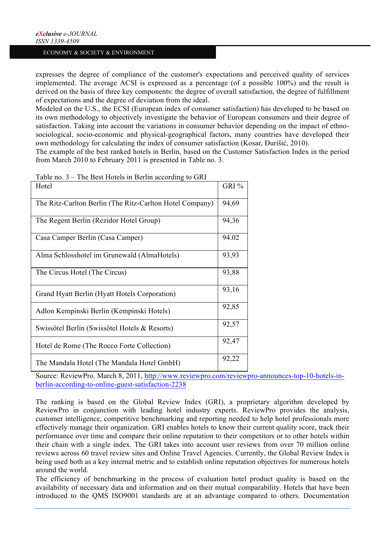expresses the degree of compliance of the customer's expectations and perceived quality of services implemented. The average ACSI is expressed as a percentage (of a possible 100%) and the result is derived on the basis of three key components: the degree of overall satisfaction, the degree of fulfillment of expectations and the degree of deviation from the ideal.

Modeled on the U.S., the ECSI (European index of consumer satisfaction) has developed to be based on its own methodology to objectively investigate the behavior of European consumers and their degree of satisfaction. Taking into account the variations in consumer behavior depending on the impact of ethnosociological, socio-economic and physical-geographical factors, many countries have developed their own methodology for calculating the index of consumer satisfaction (Kosar, Đurišić, 2010).

The example of the best ranked hotels in Berlin, based on the Customer Satisfaction Index in the period from March 2010 to February 2011 is presented in Table no. 3.

| Hotel                                                    | GRI % |
|----------------------------------------------------------|-------|
| The Ritz-Carlton Berlin (The Ritz-Carlton Hotel Company) | 94,69 |
| The Regent Berlin (Rezidor Hotel Group)                  | 94,36 |
| Casa Camper Berlin (Casa Camper)                         | 94.02 |
| Alma Schlosshotel im Grunewald (AlmaHotels)              | 93,93 |
| The Circus Hotel (The Circus)                            | 93,88 |
| Grand Hyatt Berlin (Hyatt Hotels Corporation)            | 93,16 |
| Adlon Kempinski Berlin (Kempinski Hotels)                | 92,85 |
| Swissôtel Berlin (Swissôtel Hotels & Resorts)            | 92,57 |
| Hotel de Rome (The Rocco Forte Collection)               | 92,47 |
| The Mandala Hotel (The Mandala Hotel GmbH)               | 92,22 |

Table no. 3 – The Best Hotels in Berlin according to GRI

Source: ReviewPro. March 8, 2011, http://www.reviewpro.com/reviewpro-announces-top-10-hotels-inberlin-according-to-online-guest-satisfaction-2238

The ranking is based on the Global Review Index (GRI), a proprietary algorithm developed by ReviewPro in conjunction with leading hotel industry experts. ReviewPro provides the analysis, customer intelligence, competitive benchmarking and reporting needed to help hotel professionals more effectively manage their organization. GRI enables hotels to know their current quality score, track their performance over time and compare their online reputation to their competitors or to other hotels within their chain with a single index. The GRI takes into account user reviews from over 70 million online reviews across 60 travel review sites and Online Travel Agencies. Currently, the Global Review Index is being used both as a key internal metric and to establish online reputation objectives for numerous hotels around the world.

The efficiency of benchmarking in the process of evaluation hotel product quality is based on the availability of necessary data and information and on their mutual comparability. Hotels that have been introduced to the QMS ISO9001 standards are at an advantage compared to others. Documentation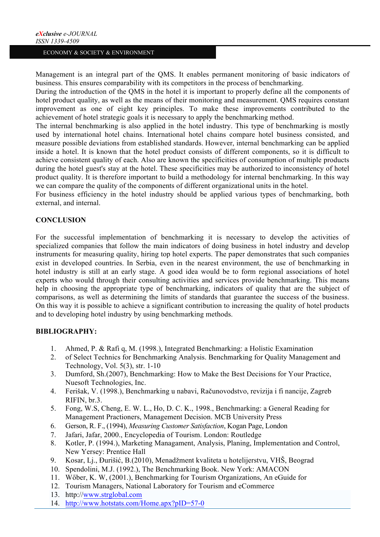Management is an integral part of the QMS. It enables permanent monitoring of basic indicators of business. This ensures comparability with its competitors in the process of benchmarking.

During the introduction of the QMS in the hotel it is important to properly define all the components of hotel product quality, as well as the means of their monitoring and measurement. OMS requires constant improvement as one of eight key principles. To make these improvements contributed to the achievement of hotel strategic goals it is necessary to apply the benchmarking method.

The internal benchmarking is also applied in the hotel industry. This type of benchmarking is mostly used by international hotel chains. International hotel chains compare hotel business consisted, and measure possible deviations from established standards. However, internal benchmarking can be applied inside a hotel. It is known that the hotel product consists of different components, so it is difficult to achieve consistent quality of each. Also are known the specificities of consumption of multiple products during the hotel guest's stay at the hotel. These specificities may be authorized to inconsistency of hotel product quality. It is therefore important to build a methodology for internal benchmarking. In this way we can compare the quality of the components of different organizational units in the hotel.

For business efficiency in the hotel industry should be applied various types of benchmarking, both external, and internal.

## **CONCLUSION**

For the successful implementation of benchmarking it is necessary to develop the activities of specialized companies that follow the main indicators of doing business in hotel industry and develop instruments for measuring quality, hiring top hotel experts. The paper demonstrates that such companies exist in developed countries. In Serbia, even in the nearest environment, the use of benchmarking in hotel industry is still at an early stage. A good idea would be to form regional associations of hotel experts who would through their consulting activities and services provide benchmarking. This means help in choosing the appropriate type of benchmarking, indicators of quality that are the subject of comparisons, as well as determining the limits of standards that guarantee the success of the business. On this way it is possible to achieve a significant contribution to increasing the quality of hotel products and to developing hotel industry by using benchmarking methods.

## **BIBLIOGRAPHY:**

- 1. Ahmed, P. & Rafi q, M. (1998.), Integrated Benchmarking: a Holistic Examination
- 2. of Select Technics for Benchmarking Analysis. Benchmarking for Quality Management and Technology, Vol. 5(3), str. 1-10
- 3. Dumford, Sh.(2007), Benchmarking: How to Make the Best Decisions for Your Practice, Nuesoft Technologies, Inc.
- 4. Ferišak, V. (1998.), Benchmarking u nabavi, Računovodstvo, revizija i fi nancije, Zagreb RIFIN, br.3.
- 5. Fong, W.S, Cheng, E. W. L., Ho, D. C. K., 1998., Benchmarking: a General Reading for Management Practioners, Management Decision. MCB University Press
- 6. Gerson, R. F., (1994), *Measuring Customer Satisfaction*, Kogan Page, London
- 7. Jafari, Jafar, 2000., Encyclopedia of Tourism. London: Routledge
- 8. Kotler, P. (1994.), Marketing Managament, Analysis, Planing, Implementation and Control, New Yersey: Prentice Hall
- 9. Kosar, Lj., Đurišić, B.(2010), Menadžment kvaliteta u hotelijerstvu, VHŠ, Beograd
- 10. Spendolini, M.J. (1992.), The Benchmarking Book. New York: AMACON
- 11. Wőber, K. W, (2001.), Benchmarking for Tourism Organizations, An eGuide for
- 12. Tourism Managers, National Laboratory for Tourism and eCommerce
- 13. http://www.strglobal.com
- 14. http://www.hotstats.com/Home.apx?pID=57-0